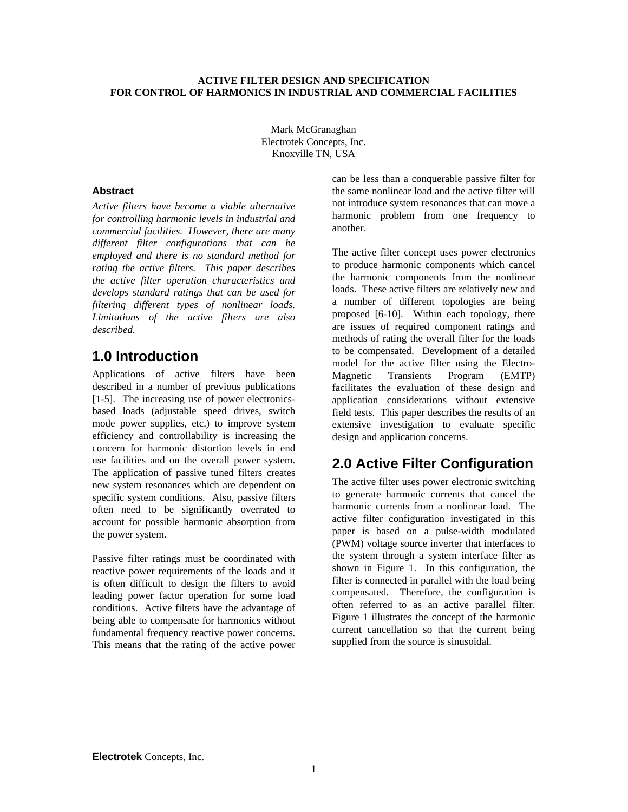### **ACTIVE FILTER DESIGN AND SPECIFICATION FOR CONTROL OF HARMONICS IN INDUSTRIAL AND COMMERCIAL FACILITIES**

Mark McGranaghan Electrotek Concepts, Inc. Knoxville TN, USA

### **Abstract**

*Active filters have become a viable alternative for controlling harmonic levels in industrial and commercial facilities. However, there are many different filter configurations that can be employed and there is no standard method for rating the active filters. This paper describes the active filter operation characteristics and develops standard ratings that can be used for filtering different types of nonlinear loads. Limitations of the active filters are also described.*

# **1.0 Introduction**

Applications of active filters have been described in a number of previous publications [1-5]. The increasing use of power electronicsbased loads (adjustable speed drives, switch mode power supplies, etc.) to improve system efficiency and controllability is increasing the concern for harmonic distortion levels in end use facilities and on the overall power system. The application of passive tuned filters creates new system resonances which are dependent on specific system conditions. Also, passive filters often need to be significantly overrated to account for possible harmonic absorption from the power system.

Passive filter ratings must be coordinated with reactive power requirements of the loads and it is often difficult to design the filters to avoid leading power factor operation for some load conditions. Active filters have the advantage of being able to compensate for harmonics without fundamental frequency reactive power concerns. This means that the rating of the active power can be less than a conquerable passive filter for the same nonlinear load and the active filter will not introduce system resonances that can move a harmonic problem from one frequency to another.

The active filter concept uses power electronics to produce harmonic components which cancel the harmonic components from the nonlinear loads. These active filters are relatively new and a number of different topologies are being proposed [6-10]. Within each topology, there are issues of required component ratings and methods of rating the overall filter for the loads to be compensated. Development of a detailed model for the active filter using the Electro-Magnetic Transients Program (EMTP) facilitates the evaluation of these design and application considerations without extensive field tests. This paper describes the results of an extensive investigation to evaluate specific design and application concerns.

# **2.0 Active Filter Configuration**

The active filter uses power electronic switching to generate harmonic currents that cancel the harmonic currents from a nonlinear load. The active filter configuration investigated in this paper is based on a pulse-width modulated (PWM) voltage source inverter that interfaces to the system through a system interface filter as shown in Figure 1. In this configuration, the filter is connected in parallel with the load being compensated. Therefore, the configuration is often referred to as an active parallel filter. Figure 1 illustrates the concept of the harmonic current cancellation so that the current being supplied from the source is sinusoidal.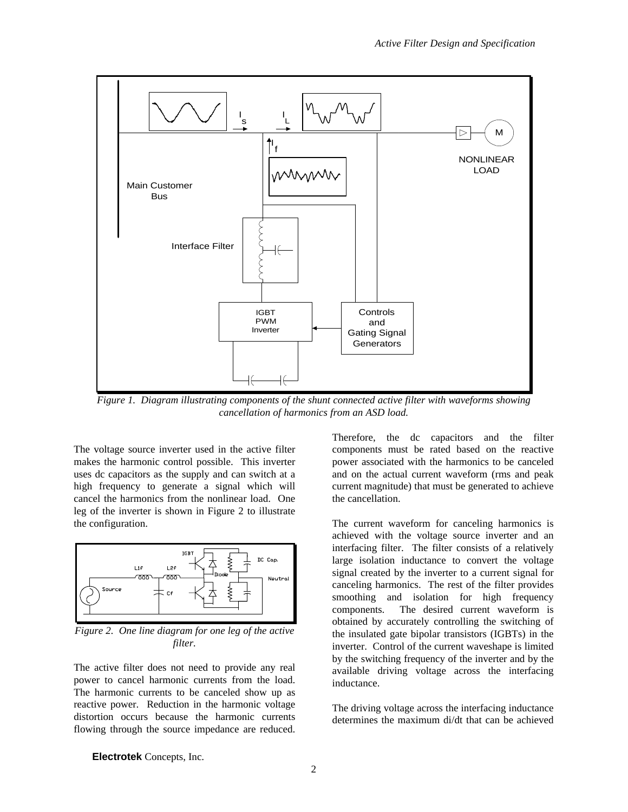

*Figure 1. Diagram illustrating components of the shunt connected active filter with waveforms showing cancellation of harmonics from an ASD load.*

The voltage source inverter used in the active filter makes the harmonic control possible. This inverter uses dc capacitors as the supply and can switch at a high frequency to generate a signal which will cancel the harmonics from the nonlinear load. One leg of the inverter is shown in Figure 2 to illustrate the configuration.



*Figure 2. One line diagram for one leg of the active filter.*

The active filter does not need to provide any real power to cancel harmonic currents from the load. The harmonic currents to be canceled show up as reactive power. Reduction in the harmonic voltage distortion occurs because the harmonic currents flowing through the source impedance are reduced. Therefore, the dc capacitors and the filter components must be rated based on the reactive power associated with the harmonics to be canceled and on the actual current waveform (rms and peak current magnitude) that must be generated to achieve the cancellation.

The current waveform for canceling harmonics is achieved with the voltage source inverter and an interfacing filter. The filter consists of a relatively large isolation inductance to convert the voltage signal created by the inverter to a current signal for canceling harmonics. The rest of the filter provides smoothing and isolation for high frequency components. The desired current waveform is obtained by accurately controlling the switching of the insulated gate bipolar transistors (IGBTs) in the inverter. Control of the current waveshape is limited by the switching frequency of the inverter and by the available driving voltage across the interfacing inductance.

The driving voltage across the interfacing inductance determines the maximum di/dt that can be achieved

**Electrotek** Concepts, Inc.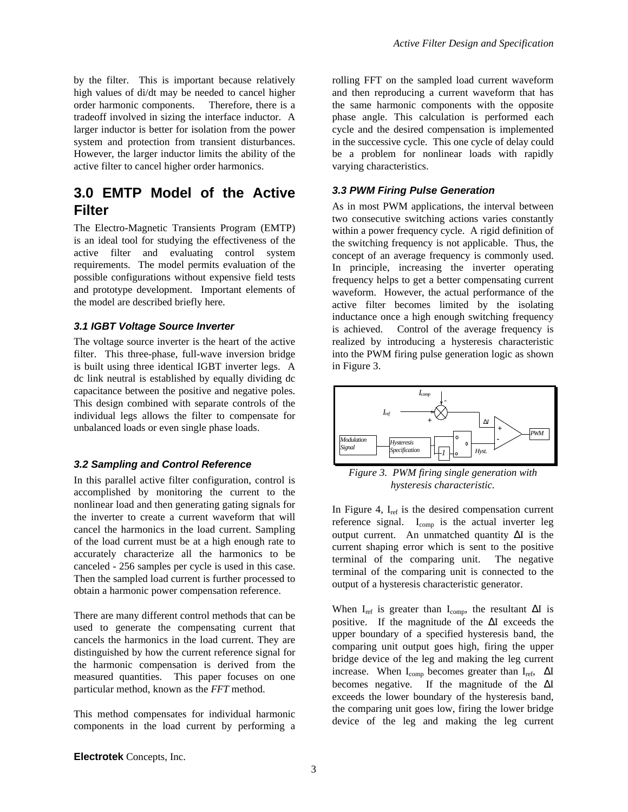by the filter. This is important because relatively high values of di/dt may be needed to cancel higher order harmonic components. Therefore, there is a tradeoff involved in sizing the interface inductor. A larger inductor is better for isolation from the power system and protection from transient disturbances. However, the larger inductor limits the ability of the active filter to cancel higher order harmonics.

# **3.0 EMTP Model of the Active Filter**

The Electro-Magnetic Transients Program (EMTP) is an ideal tool for studying the effectiveness of the active filter and evaluating control system requirements. The model permits evaluation of the possible configurations without expensive field tests and prototype development. Important elements of the model are described briefly here.

#### *3.1 IGBT Voltage Source Inverter*

The voltage source inverter is the heart of the active filter. This three-phase, full-wave inversion bridge is built using three identical IGBT inverter legs. A dc link neutral is established by equally dividing dc capacitance between the positive and negative poles. This design combined with separate controls of the individual legs allows the filter to compensate for unbalanced loads or even single phase loads.

#### *3.2 Sampling and Control Reference*

In this parallel active filter configuration, control is accomplished by monitoring the current to the nonlinear load and then generating gating signals for the inverter to create a current waveform that will cancel the harmonics in the load current. Sampling of the load current must be at a high enough rate to accurately characterize all the harmonics to be canceled - 256 samples per cycle is used in this case. Then the sampled load current is further processed to obtain a harmonic power compensation reference.

There are many different control methods that can be used to generate the compensating current that cancels the harmonics in the load current. They are distinguished by how the current reference signal for the harmonic compensation is derived from the measured quantities. This paper focuses on one particular method, known as the *FFT* method.

This method compensates for individual harmonic components in the load current by performing a rolling FFT on the sampled load current waveform and then reproducing a current waveform that has the same harmonic components with the opposite phase angle. This calculation is performed each cycle and the desired compensation is implemented in the successive cycle. This one cycle of delay could be a problem for nonlinear loads with rapidly varying characteristics.

### *3.3 PWM Firing Pulse Generation*

As in most PWM applications, the interval between two consecutive switching actions varies constantly within a power frequency cycle. A rigid definition of the switching frequency is not applicable. Thus, the concept of an average frequency is commonly used. In principle, increasing the inverter operating frequency helps to get a better compensating current waveform. However, the actual performance of the active filter becomes limited by the isolating inductance once a high enough switching frequency is achieved. Control of the average frequency is realized by introducing a hysteresis characteristic into the PWM firing pulse generation logic as shown in Figure 3.



*Figure 3. PWM firing single generation with hysteresis characteristic.*

In Figure 4,  $I_{ref}$  is the desired compensation current reference signal. I<sub>comp</sub> is the actual inverter leg output current. An unmatched quantity ΔI is the current shaping error which is sent to the positive terminal of the comparing unit. The negative terminal of the comparing unit is connected to the output of a hysteresis characteristic generator.

When I<sub>ref</sub> is greater than I<sub>comp</sub>, the resultant  $\Delta I$  is positive. If the magnitude of the ΔI exceeds the upper boundary of a specified hysteresis band, the comparing unit output goes high, firing the upper bridge device of the leg and making the leg current increase. When  $I_{comp}$  becomes greater than  $I_{ref}$ ,  $\Delta I$ becomes negative. If the magnitude of the ΔI exceeds the lower boundary of the hysteresis band, the comparing unit goes low, firing the lower bridge device of the leg and making the leg current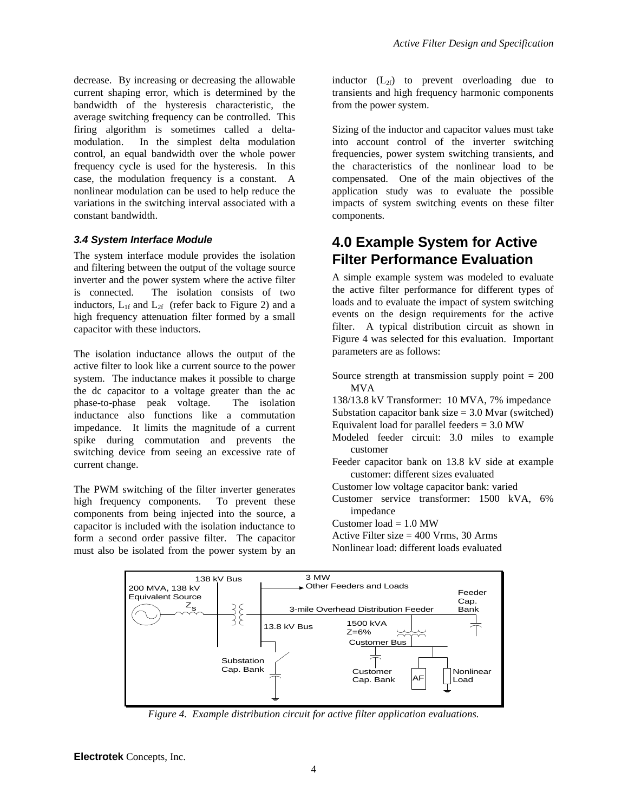decrease. By increasing or decreasing the allowable current shaping error, which is determined by the bandwidth of the hysteresis characteristic, the average switching frequency can be controlled. This firing algorithm is sometimes called a deltamodulation. In the simplest delta modulation control, an equal bandwidth over the whole power frequency cycle is used for the hysteresis. In this case, the modulation frequency is a constant. A nonlinear modulation can be used to help reduce the variations in the switching interval associated with a constant bandwidth.

### *3.4 System Interface Module*

The system interface module provides the isolation and filtering between the output of the voltage source inverter and the power system where the active filter is connected. The isolation consists of two inductors,  $L_{1f}$  and  $L_{2f}$  (refer back to Figure 2) and a high frequency attenuation filter formed by a small capacitor with these inductors.

The isolation inductance allows the output of the active filter to look like a current source to the power system. The inductance makes it possible to charge the dc capacitor to a voltage greater than the ac phase-to-phase peak voltage. The isolation inductance also functions like a commutation impedance. It limits the magnitude of a current spike during commutation and prevents the switching device from seeing an excessive rate of current change.

The PWM switching of the filter inverter generates high frequency components. To prevent these components from being injected into the source, a capacitor is included with the isolation inductance to form a second order passive filter. The capacitor must also be isolated from the power system by an inductor  $(L_{2f})$  to prevent overloading due to transients and high frequency harmonic components from the power system.

Sizing of the inductor and capacitor values must take into account control of the inverter switching frequencies, power system switching transients, and the characteristics of the nonlinear load to be compensated. One of the main objectives of the application study was to evaluate the possible impacts of system switching events on these filter components.

# **4.0 Example System for Active Filter Performance Evaluation**

A simple example system was modeled to evaluate the active filter performance for different types of loads and to evaluate the impact of system switching events on the design requirements for the active filter. A typical distribution circuit as shown in Figure 4 was selected for this evaluation. Important parameters are as follows:

Source strength at transmission supply point  $= 200$ MVA

138/13.8 kV Transformer: 10 MVA, 7% impedance Substation capacitor bank size  $= 3.0$  Mvar (switched) Equivalent load for parallel feeders  $= 3.0$  MW

- Modeled feeder circuit: 3.0 miles to example customer
- Feeder capacitor bank on 13.8 kV side at example customer: different sizes evaluated
- Customer low voltage capacitor bank: varied
- Customer service transformer: 1500 kVA, 6% impedance

Customer  $load = 1.0 MW$ 

Active Filter size = 400 Vrms, 30 Arms

Nonlinear load: different loads evaluated



*Figure 4. Example distribution circuit for active filter application evaluations.*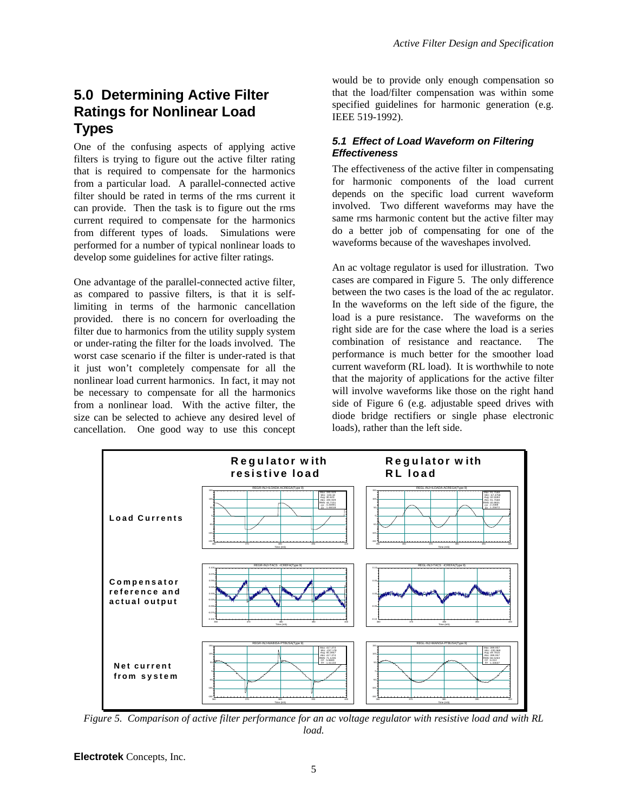# **5.0 Determining Active Filter Ratings for Nonlinear Load Types**

One of the confusing aspects of applying active filters is trying to figure out the active filter rating that is required to compensate for the harmonics from a particular load. A parallel-connected active filter should be rated in terms of the rms current it can provide. Then the task is to figure out the rms current required to compensate for the harmonics from different types of loads. Simulations were performed for a number of typical nonlinear loads to develop some guidelines for active filter ratings.

One advantage of the parallel-connected active filter, as compared to passive filters, is that it is selflimiting in terms of the harmonic cancellation provided. there is no concern for overloading the filter due to harmonics from the utility supply system or under-rating the filter for the loads involved. The worst case scenario if the filter is under-rated is that it just won't completely compensate for all the nonlinear load current harmonics. In fact, it may not be necessary to compensate for all the harmonics from a nonlinear load. With the active filter, the size can be selected to achieve any desired level of cancellation. One good way to use this concept

would be to provide only enough compensation so that the load/filter compensation was within some specified guidelines for harmonic generation (e.g. IEEE 519-1992).

## *5.1 Effect of Load Waveform on Filtering Effectiveness*

The effectiveness of the active filter in compensating for harmonic components of the load current depends on the specific load current waveform involved. Two different waveforms may have the same rms harmonic content but the active filter may do a better job of compensating for one of the waveforms because of the waveshapes involved.

An ac voltage regulator is used for illustration. Two cases are compared in Figure 5. The only difference between the two cases is the load of the ac regulator. In the waveforms on the left side of the figure, the load is a pure resistance. The waveforms on the right side are for the case where the load is a series combination of resistance and reactance. The performance is much better for the smoother load current waveform (RL load). It is worthwhile to note that the majority of applications for the active filter will involve waveforms like those on the right hand side of Figure 6 (e.g. adjustable speed drives with diode bridge rectifiers or single phase electronic loads), rather than the left side.



*Figure 5. Comparison of active filter performance for an ac voltage regulator with resistive load and with RL load.*

**Electrotek** Concepts, Inc.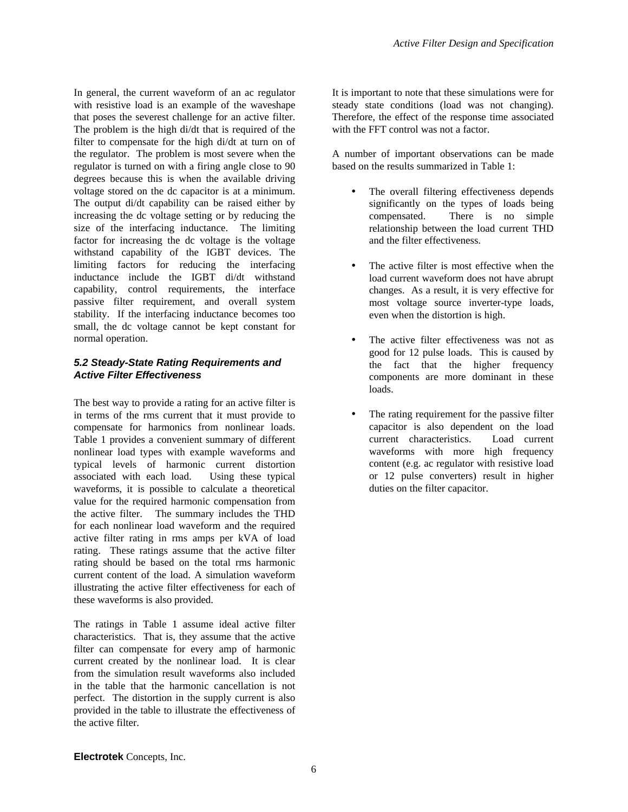In general, the current waveform of an ac regulator with resistive load is an example of the waveshape that poses the severest challenge for an active filter. The problem is the high di/dt that is required of the filter to compensate for the high di/dt at turn on of the regulator. The problem is most severe when the regulator is turned on with a firing angle close to 90 degrees because this is when the available driving voltage stored on the dc capacitor is at a minimum. The output di/dt capability can be raised either by increasing the dc voltage setting or by reducing the size of the interfacing inductance. The limiting factor for increasing the dc voltage is the voltage withstand capability of the IGBT devices. The limiting factors for reducing the interfacing inductance include the IGBT di/dt withstand capability, control requirements, the interface passive filter requirement, and overall system stability. If the interfacing inductance becomes too small, the dc voltage cannot be kept constant for normal operation.

### *5.2 Steady-State Rating Requirements and Active Filter Effectiveness*

The best way to provide a rating for an active filter is in terms of the rms current that it must provide to compensate for harmonics from nonlinear loads. Table 1 provides a convenient summary of different nonlinear load types with example waveforms and typical levels of harmonic current distortion associated with each load. Using these typical waveforms, it is possible to calculate a theoretical value for the required harmonic compensation from the active filter. The summary includes the THD for each nonlinear load waveform and the required active filter rating in rms amps per kVA of load rating. These ratings assume that the active filter rating should be based on the total rms harmonic current content of the load. A simulation waveform illustrating the active filter effectiveness for each of these waveforms is also provided.

The ratings in Table 1 assume ideal active filter characteristics. That is, they assume that the active filter can compensate for every amp of harmonic current created by the nonlinear load. It is clear from the simulation result waveforms also included in the table that the harmonic cancellation is not perfect. The distortion in the supply current is also provided in the table to illustrate the effectiveness of the active filter.

It is important to note that these simulations were for steady state conditions (load was not changing). Therefore, the effect of the response time associated with the FFT control was not a factor.

A number of important observations can be made based on the results summarized in Table 1:

- The overall filtering effectiveness depends significantly on the types of loads being compensated. There is no simple relationship between the load current THD and the filter effectiveness.
- The active filter is most effective when the load current waveform does not have abrupt changes. As a result, it is very effective for most voltage source inverter-type loads, even when the distortion is high.
- The active filter effectiveness was not as good for 12 pulse loads. This is caused by the fact that the higher frequency components are more dominant in these loads.
- The rating requirement for the passive filter capacitor is also dependent on the load current characteristics. Load current waveforms with more high frequency content (e.g. ac regulator with resistive load or 12 pulse converters) result in higher duties on the filter capacitor.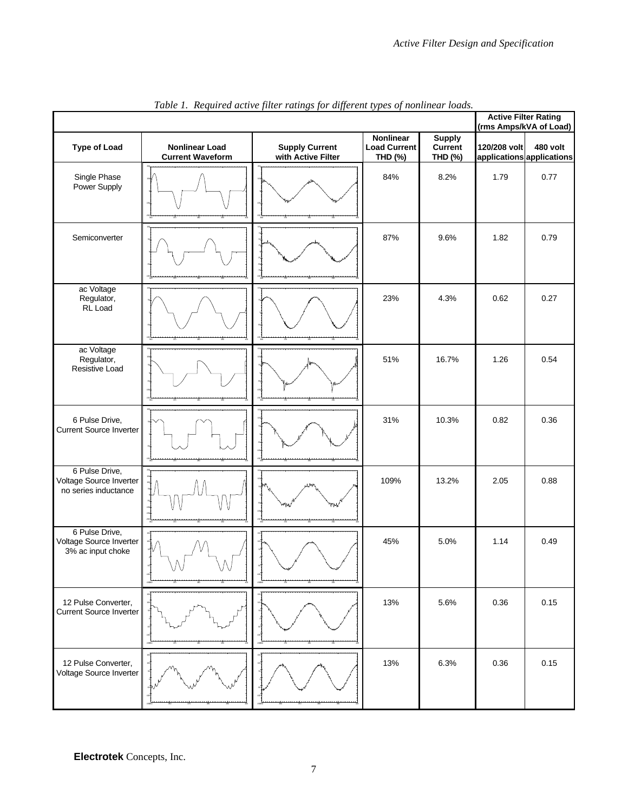|                                                                   |                                                  |                                             |                                             |                                            | <b>Active Filter Rating</b><br>(rms Amps/kVA of Load) |          |  |
|-------------------------------------------------------------------|--------------------------------------------------|---------------------------------------------|---------------------------------------------|--------------------------------------------|-------------------------------------------------------|----------|--|
| <b>Type of Load</b>                                               | <b>Nonlinear Load</b><br><b>Current Waveform</b> | <b>Supply Current</b><br>with Active Filter | Nonlinear<br><b>Load Current</b><br>THD (%) | <b>Supply</b><br><b>Current</b><br>THD (%) | 120/208 volt<br>applications applications             | 480 volt |  |
| Single Phase<br>Power Supply                                      |                                                  |                                             | 84%                                         | 8.2%                                       | 1.79                                                  | 0.77     |  |
| Semiconverter                                                     |                                                  |                                             | 87%                                         | 9.6%                                       | 1.82                                                  | 0.79     |  |
| ac Voltage<br>Regulator,<br>RL Load                               |                                                  |                                             | 23%                                         | 4.3%                                       | 0.62                                                  | 0.27     |  |
| ac Voltage<br>Regulator,<br>Resistive Load                        |                                                  |                                             | 51%                                         | 16.7%                                      | 1.26                                                  | 0.54     |  |
| 6 Pulse Drive,<br><b>Current Source Inverter</b>                  |                                                  |                                             | 31%                                         | 10.3%                                      | 0.82                                                  | 0.36     |  |
| 6 Pulse Drive,<br>Voltage Source Inverter<br>no series inductance |                                                  |                                             | 109%                                        | 13.2%                                      | 2.05                                                  | 0.88     |  |
| 6 Pulse Drive,<br>Voltage Source Inverter<br>3% ac input choke    |                                                  |                                             | 45%                                         | 5.0%                                       | 1.14                                                  | 0.49     |  |
| 12 Pulse Converter,<br><b>Current Source Inverter</b>             |                                                  |                                             | 13%                                         | 5.6%                                       | 0.36                                                  | 0.15     |  |
| 12 Pulse Converter,<br>Voltage Source Inverter                    |                                                  |                                             | 13%                                         | 6.3%                                       | 0.36                                                  | 0.15     |  |

*Table 1. Required active filter ratings for different types of nonlinear loads.*

**Electrotek** Concepts, Inc.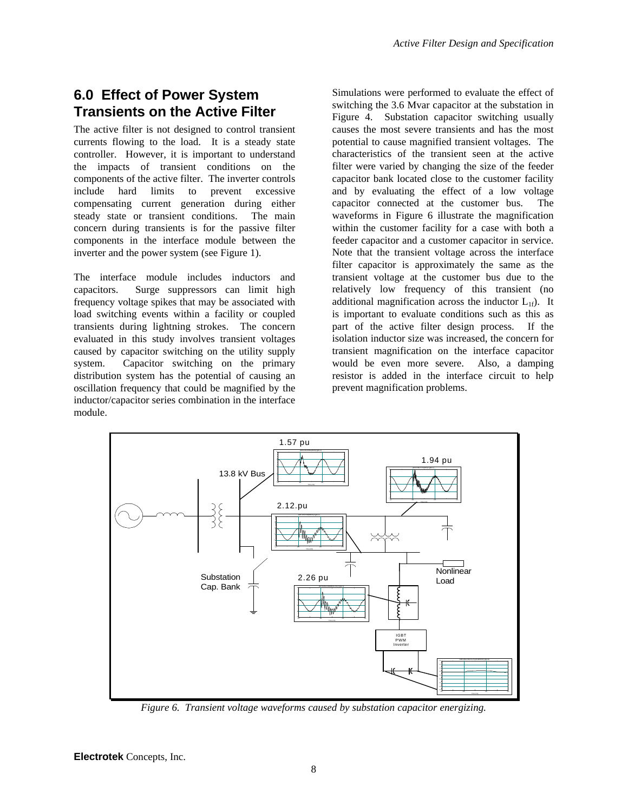# **6.0 Effect of Power System Transients on the Active Filter**

The active filter is not designed to control transient currents flowing to the load. It is a steady state controller. However, it is important to understand the impacts of transient conditions on the components of the active filter. The inverter controls include hard limits to prevent excessive compensating current generation during either steady state or transient conditions. The main concern during transients is for the passive filter components in the interface module between the inverter and the power system (see Figure 1).

The interface module includes inductors and capacitors. Surge suppressors can limit high frequency voltage spikes that may be associated with load switching events within a facility or coupled transients during lightning strokes. The concern evaluated in this study involves transient voltages caused by capacitor switching on the utility supply system. Capacitor switching on the primary distribution system has the potential of causing an oscillation frequency that could be magnified by the inductor/capacitor series combination in the interface module.

Simulations were performed to evaluate the effect of switching the 3.6 Mvar capacitor at the substation in Figure 4. Substation capacitor switching usually causes the most severe transients and has the most potential to cause magnified transient voltages. The characteristics of the transient seen at the active filter were varied by changing the size of the feeder capacitor bank located close to the customer facility and by evaluating the effect of a low voltage capacitor connected at the customer bus. The waveforms in Figure 6 illustrate the magnification within the customer facility for a case with both a feeder capacitor and a customer capacitor in service. Note that the transient voltage across the interface filter capacitor is approximately the same as the transient voltage at the customer bus due to the relatively low frequency of this transient (no additional magnification across the inductor  $L_{1f}$ ). It is important to evaluate conditions such as this as part of the active filter design process. If the isolation inductor size was increased, the concern for transient magnification on the interface capacitor would be even more severe. Also, a damping resistor is added in the interface circuit to help prevent magnification problems.



*Figure 6. Transient voltage waveforms caused by substation capacitor energizing.*